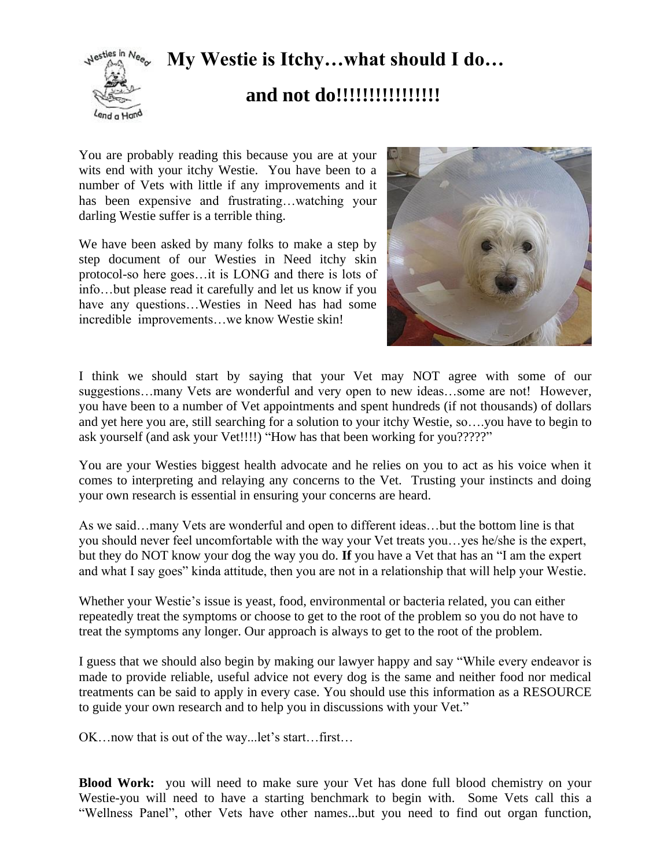# **My Westie is Itchy…what should I do…**



## **and not do!!!!!!!!!!!!!!!!**

You are probably reading this because you are at your wits end with your itchy Westie. You have been to a number of Vets with little if any improvements and it has been expensive and frustrating…watching your darling Westie suffer is a terrible thing.

We have been asked by many folks to make a step by step document of our Westies in Need itchy skin protocol-so here goes…it is LONG and there is lots of info…but please read it carefully and let us know if you have any questions…Westies in Need has had some incredible improvements…we know Westie skin!



I think we should start by saying that your Vet may NOT agree with some of our suggestions…many Vets are wonderful and very open to new ideas…some are not! However, you have been to a number of Vet appointments and spent hundreds (if not thousands) of dollars and yet here you are, still searching for a solution to your itchy Westie, so….you have to begin to ask yourself (and ask your Vet!!!!) "How has that been working for you?????"

You are your Westies biggest health advocate and he relies on you to act as his voice when it comes to interpreting and relaying any concerns to the Vet. Trusting your instincts and doing your own research is essential in ensuring your concerns are heard.

As we said…many Vets are wonderful and open to different ideas…but the bottom line is that you should never feel uncomfortable with the way your Vet treats you…yes he/she is the expert, but they do NOT know your dog the way you do. **If** you have a Vet that has an "I am the expert and what I say goes" kinda attitude, then you are not in a relationship that will help your Westie.

Whether your Westie's issue is yeast, food, environmental or bacteria related, you can either repeatedly treat the symptoms or choose to get to the root of the problem so you do not have to treat the symptoms any longer. Our approach is always to get to the root of the problem.

I guess that we should also begin by making our lawyer happy and say "While every endeavor is made to provide reliable, useful advice not every dog is the same and neither food nor medical treatments can be said to apply in every case. You should use this information as a RESOURCE to guide your own research and to help you in discussions with your Vet."

OK…now that is out of the way...let's start…first…

**Blood Work:** you will need to make sure your Vet has done full blood chemistry on your Westie-you will need to have a starting benchmark to begin with. Some Vets call this a "Wellness Panel", other Vets have other names...but you need to find out organ function,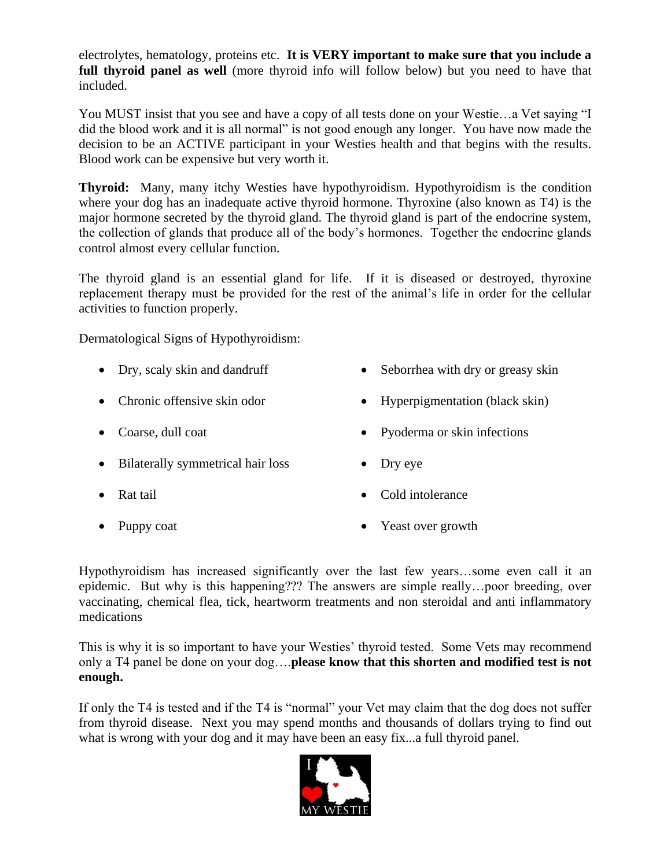electrolytes, hematology, proteins etc. **It is VERY important to make sure that you include a full thyroid panel as well** (more thyroid info will follow below) but you need to have that included.

You MUST insist that you see and have a copy of all tests done on your Westie…a Vet saying "I did the blood work and it is all normal" is not good enough any longer. You have now made the decision to be an ACTIVE participant in your Westies health and that begins with the results. Blood work can be expensive but very worth it.

**Thyroid:** Many, many itchy Westies have hypothyroidism. Hypothyroidism is the condition where your dog has an inadequate active thyroid hormone. Thyroxine (also known as T4) is the major hormone secreted by the thyroid gland. The thyroid gland is part of the endocrine system, the collection of glands that produce all of the body's hormones. Together the endocrine glands control almost every cellular function.

The thyroid gland is an essential gland for life. If it is diseased or destroyed, thyroxine replacement therapy must be provided for the rest of the animal's life in order for the cellular activities to function properly.

Dermatological Signs of Hypothyroidism:

- Dry, scaly skin and dandruff Seborrhea with dry or greasy skin
- 
- 
- Bilaterally symmetrical hair loss Dry eye
- 
- 
- 
- Chronic offensive skin odor Hyperpigmentation (black skin)
- Coarse, dull coat Pyoderma or skin infections
	-
- Rat tail Cold intolerance
- Puppy coat Yeast over growth

Hypothyroidism has increased significantly over the last few years…some even call it an epidemic. But why is this happening??? The answers are simple really…poor breeding, over vaccinating, chemical flea, tick, heartworm treatments and non steroidal and anti inflammatory medications

This is why it is so important to have your Westies' thyroid tested. Some Vets may recommend only a T4 panel be done on your dog….**please know that this shorten and modified test is not enough.**

If only the T4 is tested and if the T4 is "normal" your Vet may claim that the dog does not suffer from thyroid disease. Next you may spend months and thousands of dollars trying to find out what is wrong with your dog and it may have been an easy fix...a full thyroid panel.

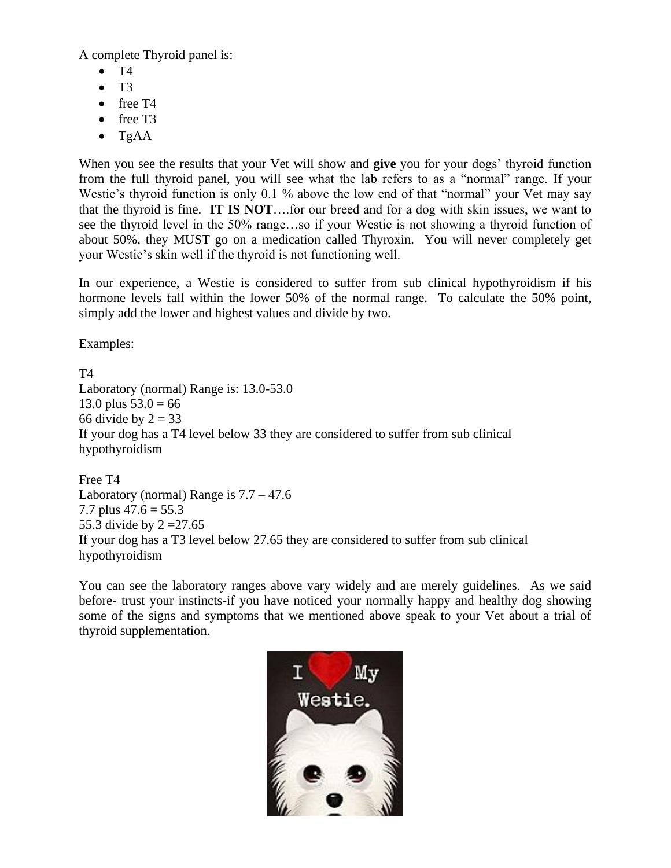A complete Thyroid panel is:

- $\bullet$  T4
- $\bullet$  T<sub>3</sub>
- free T4
- free T3
- TgAA

When you see the results that your Vet will show and **give** you for your dogs' thyroid function from the full thyroid panel, you will see what the lab refers to as a "normal" range. If your Westie's thyroid function is only 0.1 % above the low end of that "normal" your Vet may say that the thyroid is fine. **IT IS NOT**….for our breed and for a dog with skin issues, we want to see the thyroid level in the 50% range…so if your Westie is not showing a thyroid function of about 50%, they MUST go on a medication called Thyroxin. You will never completely get your Westie's skin well if the thyroid is not functioning well.

In our experience, a Westie is considered to suffer from sub clinical hypothyroidism if his hormone levels fall within the lower 50% of the normal range. To calculate the 50% point, simply add the lower and highest values and divide by two.

Examples:

T4 Laboratory (normal) Range is: 13.0-53.0 13.0 plus  $53.0 = 66$ 66 divide by  $2 = 33$ If your dog has a T4 level below 33 they are considered to suffer from sub clinical hypothyroidism

Free T4 Laboratory (normal) Range is  $7.7 - 47.6$ 7.7 plus  $47.6 = 55.3$ 55.3 divide by 2 =27.65 If your dog has a T3 level below 27.65 they are considered to suffer from sub clinical hypothyroidism

You can see the laboratory ranges above vary widely and are merely guidelines. As we said before- trust your instincts-if you have noticed your normally happy and healthy dog showing some of the signs and symptoms that we mentioned above speak to your Vet about a trial of thyroid supplementation.

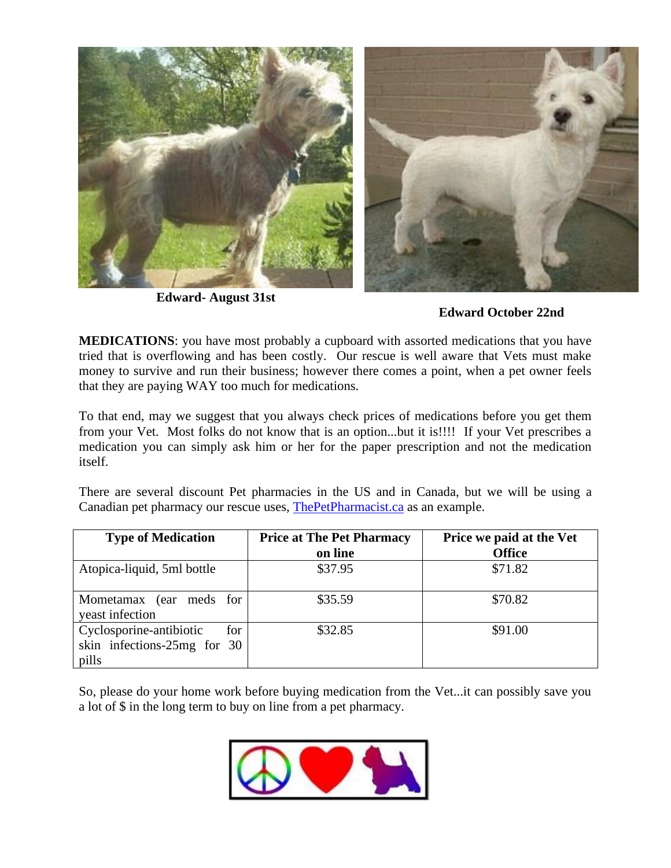

**Edward- August 31st**



**MEDICATIONS**: you have most probably a cupboard with assorted medications that you have tried that is overflowing and has been costly. Our rescue is well aware that Vets must make money to survive and run their business; however there comes a point, when a pet owner feels that they are paying WAY too much for medications.

To that end, may we suggest that you always check prices of medications before you get them from your Vet. Most folks do not know that is an option...but it is!!!! If your Vet prescribes a medication you can simply ask him or her for the paper prescription and not the medication itself.

There are several discount Pet pharmacies in the US and in Canada, but we will be using a Canadian pet pharmacy our rescue uses, [ThePetPharmacist.ca](http://thepetpharmacist.ca/) as an example.

| <b>Type of Medication</b>                                              | <b>Price at The Pet Pharmacy</b> | Price we paid at the Vet |
|------------------------------------------------------------------------|----------------------------------|--------------------------|
|                                                                        | on line                          | <b>Office</b>            |
| Atopica-liquid, 5ml bottle                                             | \$37.95                          | \$71.82                  |
| Mometamax (ear meds for<br>yeast infection                             | \$35.59                          | \$70.82                  |
| Cyclosporine-antibiotic<br>for<br>skin infections-25mg for 30<br>pills | \$32.85                          | \$91.00                  |

So, please do your home work before buying medication from the Vet...it can possibly save you a lot of \$ in the long term to buy on line from a pet pharmacy.

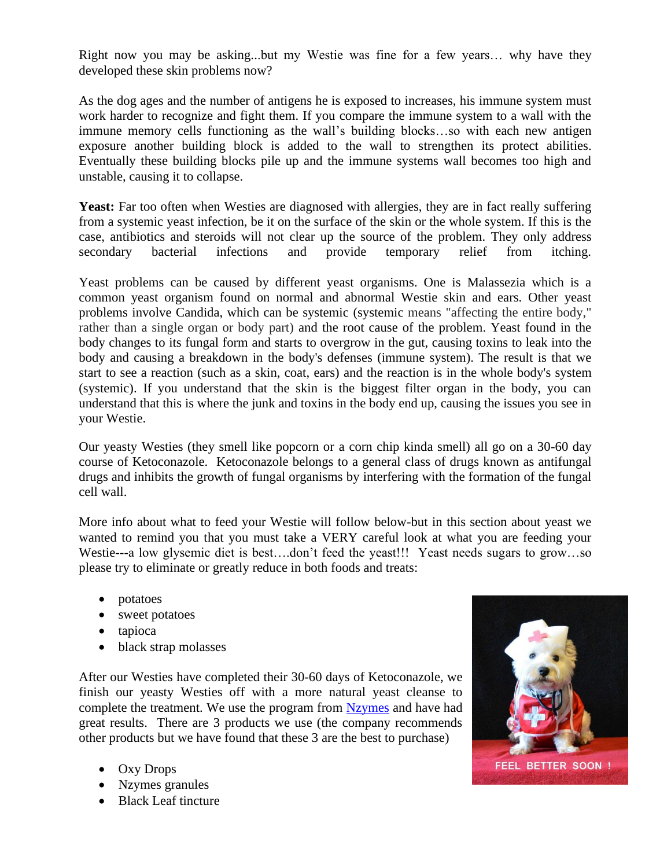Right now you may be asking...but my Westie was fine for a few years… why have they developed these skin problems now?

As the dog ages and the number of antigens he is exposed to increases, his immune system must work harder to recognize and fight them. If you compare the immune system to a wall with the immune memory cells functioning as the wall's building blocks…so with each new antigen exposure another building block is added to the wall to strengthen its protect abilities. Eventually these building blocks pile up and the immune systems wall becomes too high and unstable, causing it to collapse.

Yeast: Far too often when Westies are diagnosed with allergies, they are in fact really suffering from a systemic yeast infection, be it on the surface of the skin or the whole system. If this is the case, antibiotics and steroids will not clear up the source of the problem. They only address secondary bacterial infections and provide temporary relief from itching.

Yeast problems can be caused by different yeast organisms. One is Malassezia which is a common yeast organism found on normal and abnormal Westie skin and ears. Other yeast problems involve Candida, which can be systemic (systemic means "affecting the entire body," rather than a single organ or body part) and the root cause of the problem. Yeast found in the body changes to its fungal form and starts to overgrow in the gut, causing toxins to leak into the body and causing a breakdown in the body's defenses (immune system). The result is that we start to see a reaction (such as a skin, coat, ears) and the reaction is in the whole body's system (systemic). If you understand that the skin is the biggest filter organ in the body, you can understand that this is where the junk and toxins in the body end up, causing the issues you see in your Westie.

Our yeasty Westies (they smell like popcorn or a corn chip kinda smell) all go on a 30-60 day course of Ketoconazole. Ketoconazole belongs to a general class of drugs known as antifungal drugs and inhibits the growth of fungal organisms by interfering with the formation of the fungal cell wall.

More info about what to feed your Westie will follow below-but in this section about yeast we wanted to remind you that you must take a VERY careful look at what you are feeding your Westie---a low glysemic diet is best….don't feed the yeast!!! Yeast needs sugars to grow…so please try to eliminate or greatly reduce in both foods and treats:

- potatoes
- sweet potatoes
- tapioca
- black strap molasses

After our Westies have completed their 30-60 days of Ketoconazole, we finish our yeasty Westies off with a more natural yeast cleanse to complete the treatment. We use the program from [Nzymes](http://www.nzymes.com/store/pc/symptomChkrResults.asp?condition_id=1951) and have had great results. There are 3 products we use (the company recommends other products but we have found that these 3 are the best to purchase)

- Oxy Drops
- Nzymes granules
- Black Leaf tincture

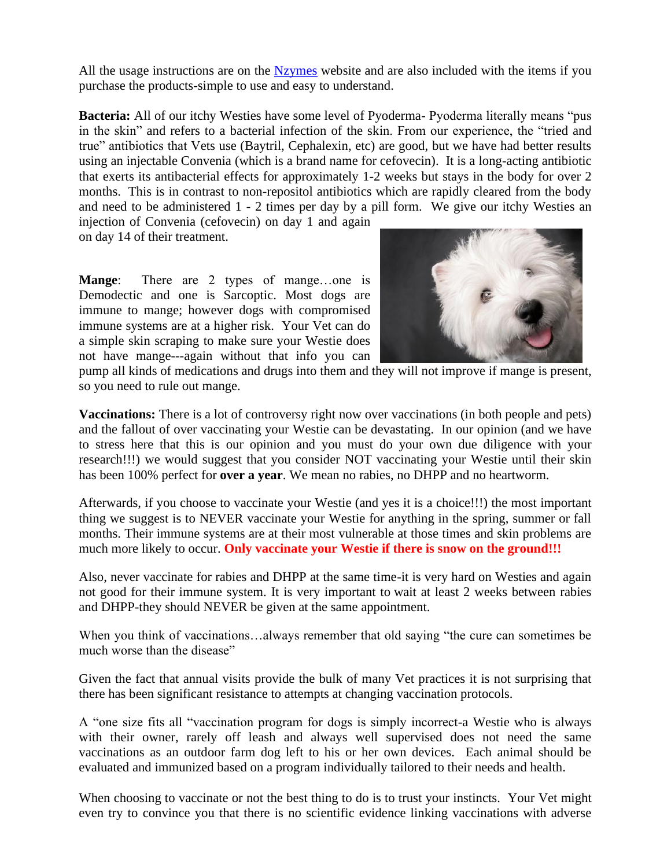All the usage instructions are on the [Nzymes](http://www.nzymes.com/store/pc/symptomChkrResults.asp?condition_id=1951) website and are also included with the items if you purchase the products-simple to use and easy to understand.

**Bacteria:** All of our itchy Westies have some level of Pyoderma- Pyoderma literally means "pus in the skin" and refers to a bacterial infection of the skin. From our experience, the "tried and true" antibiotics that Vets use (Baytril, Cephalexin, etc) are good, but we have had better results using an injectable Convenia (which is a brand name for cefovecin). It is a long-acting antibiotic that exerts its antibacterial effects for approximately 1-2 weeks but stays in the body for over 2 months. This is in contrast to non-repositol antibiotics which are rapidly cleared from the body and need to be administered 1 - 2 times per day by a pill form. We give our itchy Westies an

injection of Convenia (cefovecin) on day 1 and again on day 14 of their treatment.

**Mange**: There are 2 types of mange…one is Demodectic and one is Sarcoptic. Most dogs are immune to mange; however dogs with compromised immune systems are at a higher risk. Your Vet can do a simple skin scraping to make sure your Westie does not have mange---again without that info you can



pump all kinds of medications and drugs into them and they will not improve if mange is present, so you need to rule out mange.

**Vaccinations:** There is a lot of controversy right now over vaccinations (in both people and pets) and the fallout of over vaccinating your Westie can be devastating. In our opinion (and we have to stress here that this is our opinion and you must do your own due diligence with your research!!!) we would suggest that you consider NOT vaccinating your Westie until their skin has been 100% perfect for **over a year**. We mean no rabies, no DHPP and no heartworm.

Afterwards, if you choose to vaccinate your Westie (and yes it is a choice!!!) the most important thing we suggest is to NEVER vaccinate your Westie for anything in the spring, summer or fall months. Their immune systems are at their most vulnerable at those times and skin problems are much more likely to occur. **Only vaccinate your Westie if there is snow on the ground!!!**

Also, never vaccinate for rabies and DHPP at the same time-it is very hard on Westies and again not good for their immune system. It is very important to wait at least 2 weeks between rabies and DHPP-they should NEVER be given at the same appointment.

When you think of vaccinations…always remember that old saying "the cure can sometimes be much worse than the disease"

Given the fact that annual visits provide the bulk of many Vet practices it is not surprising that there has been significant resistance to attempts at changing vaccination protocols.

A "one size fits all "vaccination program for dogs is simply incorrect-a Westie who is always with their owner, rarely off leash and always well supervised does not need the same vaccinations as an outdoor farm dog left to his or her own devices. Each animal should be evaluated and immunized based on a program individually tailored to their needs and health.

When choosing to vaccinate or not the best thing to do is to trust your instincts. Your Vet might even try to convince you that there is no scientific evidence linking vaccinations with adverse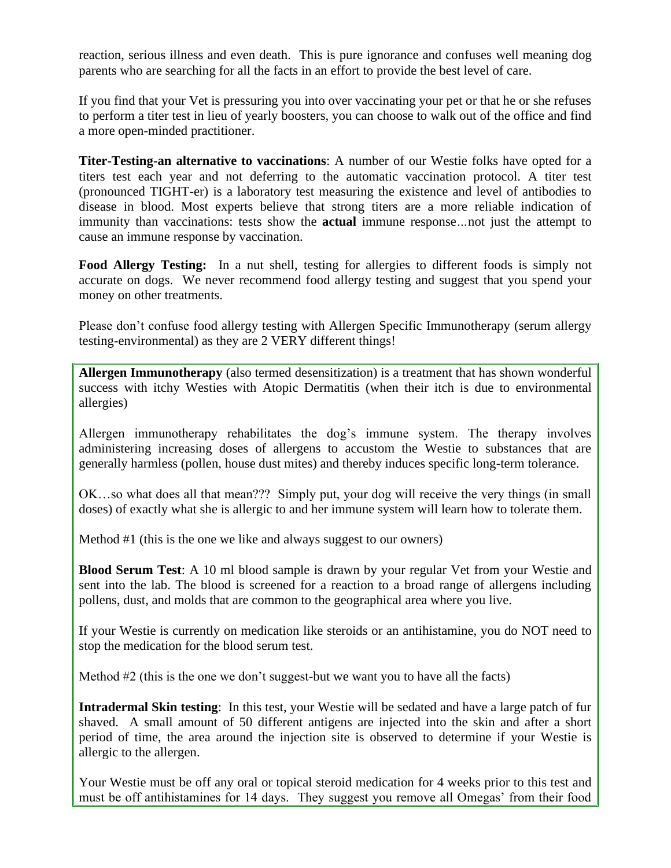reaction, serious illness and even death. This is pure ignorance and confuses well meaning dog parents who are searching for all the facts in an effort to provide the best level of care.

If you find that your Vet is pressuring you into over vaccinating your pet or that he or she refuses to perform a titer test in lieu of yearly boosters, you can choose to walk out of the office and find a more open-minded practitioner.

**Titer-Testing-an alternative to vaccinations**: A number of our Westie folks have opted for a titers test each year and not deferring to the automatic vaccination protocol. A titer test (pronounced TIGHT-er) is a laboratory test measuring the existence and level of antibodies to disease in blood. Most experts believe that strong titers are a more reliable indication of immunity than vaccinations: tests show the **actual** immune response*…*not just the attempt to cause an immune response by vaccination.

**Food Allergy Testing:** In a nut shell, testing for allergies to different foods is simply not accurate on dogs. We never recommend food allergy testing and suggest that you spend your money on other treatments.

Please don't confuse food allergy testing with Allergen Specific Immunotherapy (serum allergy testing-environmental) as they are 2 VERY different things!

**Allergen Immunotherapy** (also termed desensitization) is a treatment that has shown wonderful success with itchy Westies with Atopic Dermatitis (when their itch is due to environmental allergies)

Allergen immunotherapy rehabilitates the dog's immune system. The therapy involves administering increasing doses of allergens to accustom the Westie to substances that are generally harmless (pollen, house dust mites) and thereby induces specific long-term tolerance.

OK…so what does all that mean??? Simply put, your dog will receive the very things (in small doses) of exactly what she is allergic to and her immune system will learn how to tolerate them.

Method #1 (this is the one we like and always suggest to our owners)

**Blood Serum Test**: A 10 ml blood sample is drawn by your regular Vet from your Westie and sent into the lab. The blood is screened for a reaction to a broad range of allergens including pollens, dust, and molds that are common to the geographical area where you live.

If your Westie is currently on medication like steroids or an antihistamine, you do NOT need to stop the medication for the blood serum test.

Method  $#2$  (this is the one we don't suggest-but we want you to have all the facts)

**Intradermal Skin testing**: In this test, your Westie will be sedated and have a large patch of fur shaved. A small amount of 50 different antigens are injected into the skin and after a short period of time, the area around the injection site is observed to determine if your Westie is allergic to the allergen.

Your Westie must be off any oral or topical steroid medication for 4 weeks prior to this test and must be off antihistamines for 14 days. They suggest you remove all Omegas' from their food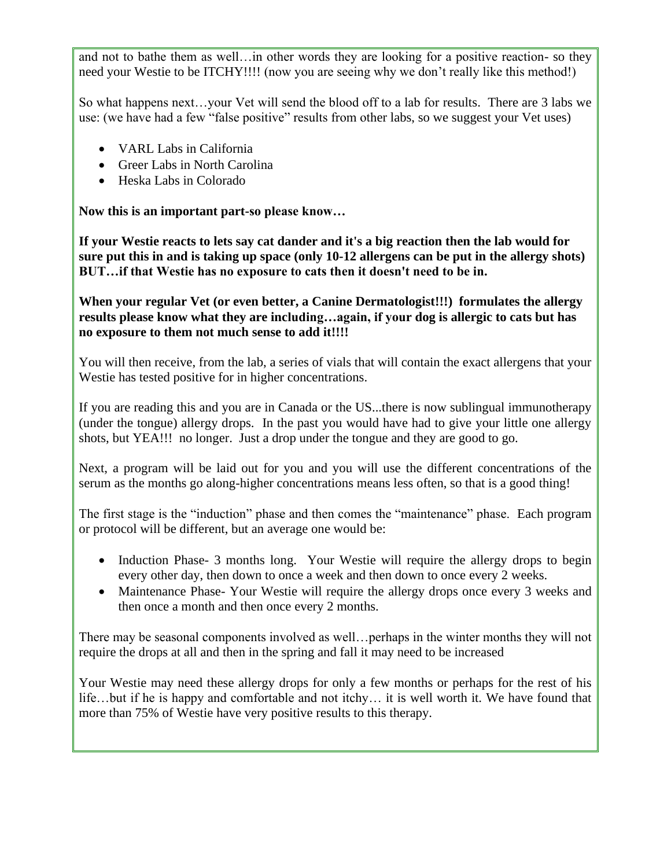and not to bathe them as well…in other words they are looking for a positive reaction- so they need your Westie to be ITCHY!!!! (now you are seeing why we don't really like this method!)

So what happens next…your Vet will send the blood off to a lab for results. There are 3 labs we use: (we have had a few "false positive" results from other labs, so we suggest your Vet uses)

- VARL Labs in California
- Greer Labs in North Carolina
- Heska Labs in Colorado

**Now this is an important part-so please know…**

**If your Westie reacts to lets say cat dander and it's a big reaction then the lab would for sure put this in and is taking up space (only 10-12 allergens can be put in the allergy shots) BUT…if that Westie has no exposure to cats then it doesn't need to be in.** 

**When your regular Vet (or even better, a Canine Dermatologist!!!) formulates the allergy results please know what they are including…again, if your dog is allergic to cats but has no exposure to them not much sense to add it!!!!** 

You will then receive, from the lab, a series of vials that will contain the exact allergens that your Westie has tested positive for in higher concentrations.

If you are reading this and you are in Canada or the US...there is now sublingual immunotherapy (under the tongue) allergy drops. In the past you would have had to give your little one allergy shots, but YEA!!! no longer. Just a drop under the tongue and they are good to go.

Next, a program will be laid out for you and you will use the different concentrations of the serum as the months go along-higher concentrations means less often, so that is a good thing!

The first stage is the "induction" phase and then comes the "maintenance" phase. Each program or protocol will be different, but an average one would be:

- Induction Phase- 3 months long. Your Westie will require the allergy drops to begin every other day, then down to once a week and then down to once every 2 weeks.
- Maintenance Phase-Your Westie will require the allergy drops once every 3 weeks and then once a month and then once every 2 months.

There may be seasonal components involved as well…perhaps in the winter months they will not require the drops at all and then in the spring and fall it may need to be increased

Your Westie may need these allergy drops for only a few months or perhaps for the rest of his life…but if he is happy and comfortable and not itchy… it is well worth it. We have found that more than 75% of Westie have very positive results to this therapy.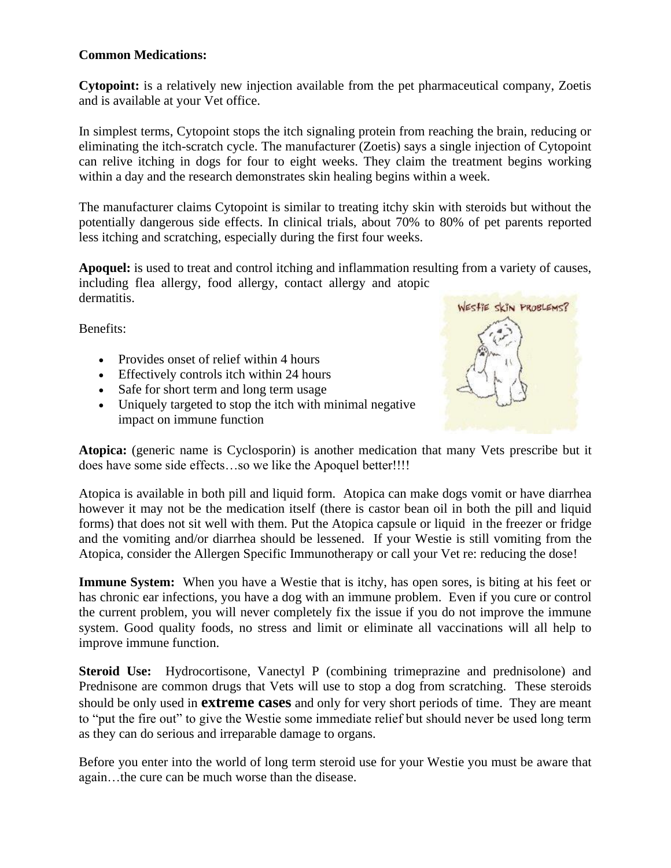#### **Common Medications:**

**Cytopoint:** is a relatively new injection available from the pet pharmaceutical company, Zoetis and is available at your Vet office.

In simplest terms, Cytopoint stops the itch signaling protein from reaching the brain, reducing or eliminating the itch-scratch cycle. The manufacturer (Zoetis) says a single injection of Cytopoint can relive itching in dogs for four to eight weeks. They claim the treatment begins working within a day and the research demonstrates skin healing begins within a week.

The manufacturer claims Cytopoint is similar to treating itchy skin with steroids but without the potentially dangerous side effects. In clinical trials, about 70% to 80% of pet parents reported less itching and scratching, especially during the first four weeks.

**Apoquel:** is used to treat and control itching and inflammation resulting from a variety of causes, including flea allergy, food allergy, contact allergy and atopic dermatitis.

Benefits:

- Provides onset of relief within 4 hours
- Effectively controls itch within 24 hours
- Safe for short term and long term usage
- Uniquely targeted to stop the itch with minimal negative impact on immune function



**Atopica:** (generic name is Cyclosporin) is another medication that many Vets prescribe but it does have some side effects…so we like the Apoquel better!!!!

Atopica is available in both pill and liquid form. Atopica can make dogs vomit or have diarrhea however it may not be the medication itself (there is castor bean oil in both the pill and liquid forms) that does not sit well with them. Put the Atopica capsule or liquid in the freezer or fridge and the vomiting and/or diarrhea should be lessened. If your Westie is still vomiting from the Atopica, consider the Allergen Specific Immunotherapy or call your Vet re: reducing the dose!

**Immune System:** When you have a Westie that is itchy, has open sores, is biting at his feet or has chronic ear infections, you have a dog with an immune problem. Even if you cure or control the current problem, you will never completely fix the issue if you do not improve the immune system. Good quality foods, no stress and limit or eliminate all vaccinations will all help to improve immune function.

**Steroid Use:** Hydrocortisone, Vanectyl P (combining trimeprazine and prednisolone) and Prednisone are common drugs that Vets will use to stop a dog from scratching. These steroids should be only used in **extreme cases** and only for very short periods of time. They are meant to "put the fire out" to give the Westie some immediate relief but should never be used long term as they can do serious and irreparable damage to organs.

Before you enter into the world of long term steroid use for your Westie you must be aware that again…the cure can be much worse than the disease.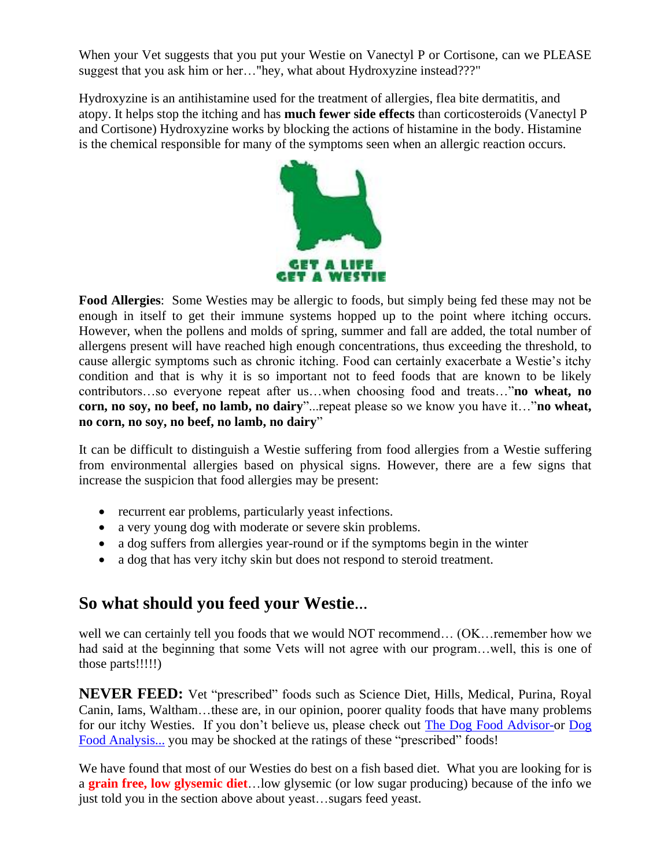When your Vet suggests that you put your Westie on Vanectyl P or Cortisone, can we PLEASE suggest that you ask him or her…"hey, what about Hydroxyzine instead???"

Hydroxyzine is an antihistamine used for the treatment of allergies, flea bite dermatitis, and atopy. It helps stop the itching and has **much fewer side effects** than corticosteroids (Vanectyl P and Cortisone) Hydroxyzine works by blocking the actions of histamine in the body. Histamine is the chemical responsible for many of the symptoms seen when an allergic reaction occurs.



**Food Allergies**: Some Westies may be allergic to foods, but simply being fed these may not be enough in itself to get their immune systems hopped up to the point where itching occurs. However, when the pollens and molds of spring, summer and fall are added, the total number of allergens present will have reached high enough concentrations, thus exceeding the threshold, to cause allergic symptoms such as chronic itching. Food can certainly exacerbate a Westie's itchy condition and that is why it is so important not to feed foods that are known to be likely contributors…so everyone repeat after us…when choosing food and treats…"**no wheat, no corn, no soy, no beef, no lamb, no dairy**"...repeat please so we know you have it…"**no wheat, no corn, no soy, no beef, no lamb, no dairy**"

It can be difficult to distinguish a Westie suffering from food allergies from a Westie suffering from environmental allergies based on physical signs. However, there are a few signs that increase the suspicion that food allergies may be present:

- recurrent ear problems, particularly yeast infections.
- a very young dog with moderate or severe skin problems.
- a dog suffers from allergies year-round or if the symptoms begin in the winter
- a dog that has very itchy skin but does not respond to steroid treatment.

## **So what should you feed your Westie…**

well we can certainly tell you foods that we would NOT recommend... (OK... remember how we had said at the beginning that some Vets will not agree with our program...well, this is one of those parts!!!!!)

**NEVER FEED:** Vet "prescribed" foods such as Science Diet, Hills, Medical, Purina, Royal Canin, Iams, Waltham…these are, in our opinion, poorer quality foods that have many problems for our itchy Westies. If you don't believe us, please check out [The Dog Food Advisor-o](http://www.dogfoodadvisor.com/)r [Dog](http://www.dogfoodanalysis.com/)  [Food Analysis...](http://www.dogfoodanalysis.com/) you may be shocked at the ratings of these "prescribed" foods!

We have found that most of our Westies do best on a fish based diet. What you are looking for is a **grain free, low glysemic diet**…low glysemic (or low sugar producing) because of the info we just told you in the section above about yeast…sugars feed yeast.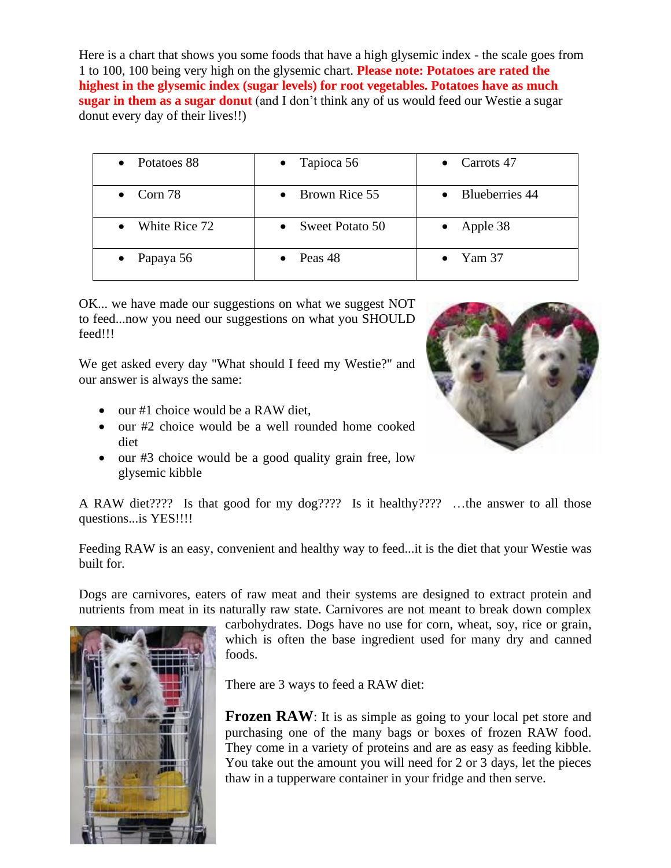Here is a chart that shows you some foods that have a high glysemic index - the scale goes from 1 to 100, 100 being very high on the glysemic chart. **Please note: Potatoes are rated the highest in the glysemic index (sugar levels) for root vegetables. Potatoes have as much sugar in them as a sugar donut** (and I don't think any of us would feed our Westie a sugar donut every day of their lives!!)

| • Potatoes 88     | • Tapioca $56$          | Carrots 47     |
|-------------------|-------------------------|----------------|
| $\bullet$ Corn 78 | $\bullet$ Brown Rice 55 | Blueberries 44 |
| White Rice 72     | • Sweet Potato $50$     | Apple 38       |
| • Papaya $56$     | Peas 48                 | Yam 37         |

OK... we have made our suggestions on what we suggest NOT to feed...now you need our suggestions on what you SHOULD feed!!!

We get asked every day "What should I feed my Westie?" and our answer is always the same:

- our #1 choice would be a RAW diet,
- our #2 choice would be a well rounded home cooked diet
- our #3 choice would be a good quality grain free, low glysemic kibble



A RAW diet???? Is that good for my dog???? Is it healthy???? …the answer to all those questions...is YES!!!!

Feeding RAW is an easy, convenient and healthy way to feed...it is the diet that your Westie was built for.

Dogs are carnivores, eaters of raw meat and their systems are designed to extract protein and nutrients from meat in its naturally raw state. Carnivores are not meant to break down complex



carbohydrates. Dogs have no use for corn, wheat, soy, rice or grain, which is often the base ingredient used for many dry and canned foods.

There are 3 ways to feed a RAW diet:

**Frozen RAW**: It is as simple as going to your local pet store and purchasing one of the many bags or boxes of frozen RAW food. They come in a variety of proteins and are as easy as feeding kibble. You take out the amount you will need for 2 or 3 days, let the pieces thaw in a tupperware container in your fridge and then serve.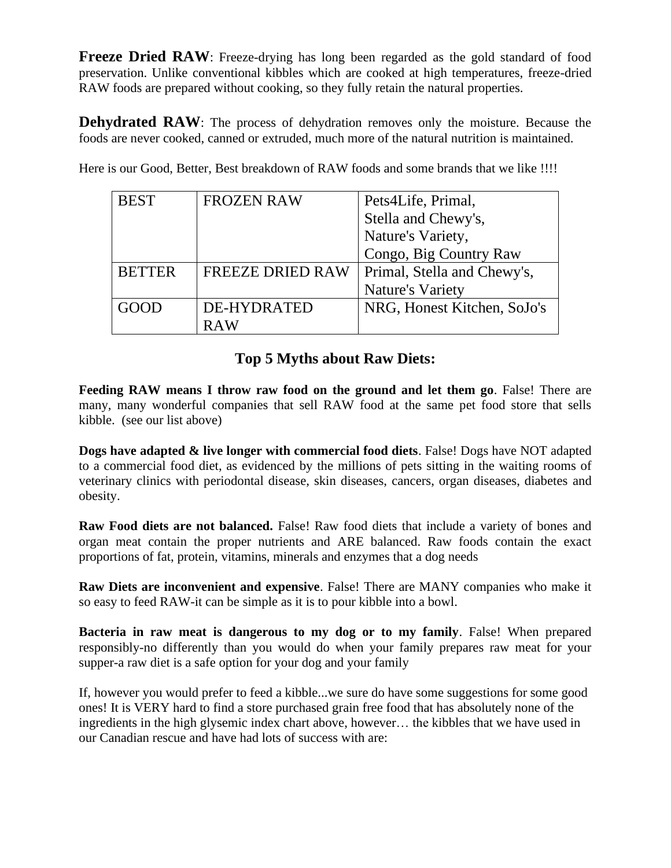**Freeze Dried RAW**: Freeze-drying has long been regarded as the gold standard of food preservation. Unlike conventional kibbles which are cooked at high temperatures, freeze-dried RAW foods are prepared without cooking, so they fully retain the natural properties.

**Dehydrated RAW**: The process of dehydration removes only the moisture. Because the foods are never cooked, canned or extruded, much more of the natural nutrition is maintained.

Here is our Good, Better, Best breakdown of RAW foods and some brands that we like !!!!

| <b>BEST</b>   | <b>FROZEN RAW</b>       | Pets4Life, Primal,          |
|---------------|-------------------------|-----------------------------|
|               |                         | Stella and Chewy's,         |
|               |                         | Nature's Variety,           |
|               |                         | Congo, Big Country Raw      |
| <b>BETTER</b> | <b>FREEZE DRIED RAW</b> | Primal, Stella and Chewy's, |
|               |                         | <b>Nature's Variety</b>     |
| GOOt          | <b>DE-HYDRATED</b>      | NRG, Honest Kitchen, SoJo's |
|               |                         |                             |

### **Top 5 Myths about Raw Diets:**

**Feeding RAW means I throw raw food on the ground and let them go**. False! There are many, many wonderful companies that sell RAW food at the same pet food store that sells kibble. (see our list above)

**Dogs have adapted & live longer with commercial food diets**. False! Dogs have NOT adapted to a commercial food diet, as evidenced by the millions of pets sitting in the waiting rooms of veterinary clinics with periodontal disease, skin diseases, cancers, organ diseases, diabetes and obesity.

**Raw Food diets are not balanced.** False! Raw food diets that include a variety of bones and organ meat contain the proper nutrients and ARE balanced. Raw foods contain the exact proportions of fat, protein, vitamins, minerals and enzymes that a dog needs

**Raw Diets are inconvenient and expensive**. False! There are MANY companies who make it so easy to feed RAW-it can be simple as it is to pour kibble into a bowl.

**Bacteria in raw meat is dangerous to my dog or to my family**. False! When prepared responsibly-no differently than you would do when your family prepares raw meat for your supper-a raw diet is a safe option for your dog and your family

If, however you would prefer to feed a kibble...we sure do have some suggestions for some good ones! It is VERY hard to find a store purchased grain free food that has absolutely none of the ingredients in the high glysemic index chart above, however… the kibbles that we have used in our Canadian rescue and have had lots of success with are: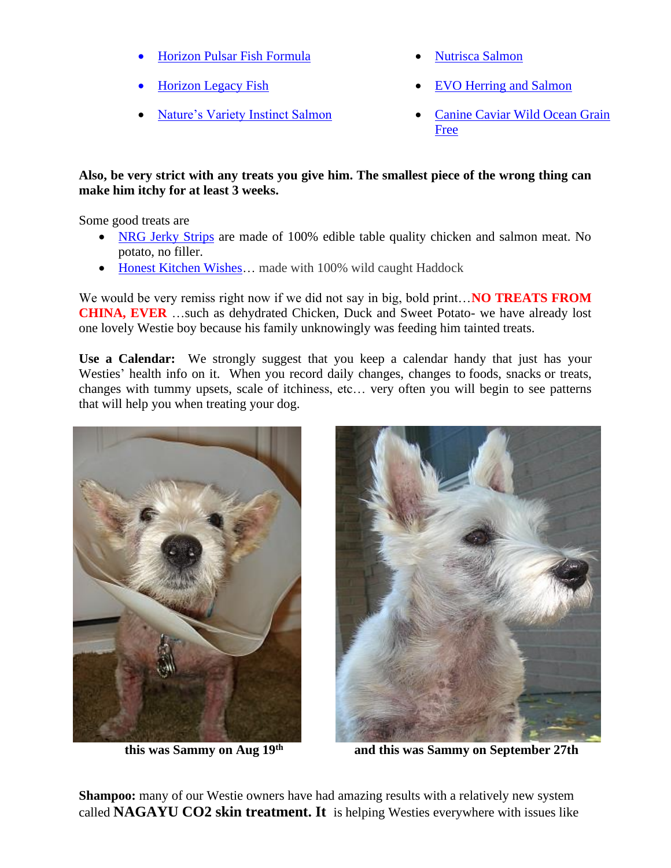- [Horizon Pulsar Fish Formula](http://www.horizonpetfood.com/pulsar)
- [Horizon Legacy Fish](http://www.horizonpetfood.com/legacy)
- [Nature's Variety Instinct Salmon](http://www.naturesvariety.com/Instinct/dog/kibble/salmon)
- [Nutrisca Salmon](http://nutrisca.dogswell.com/salmon.html)
- [EVO Herring and Salmon](http://www.evopet.com/products/1561)
- [Canine Caviar Wild Ocean Grain](http://www.caninecaviar.com/product/wild-ocean-als/)  [Free](http://www.caninecaviar.com/product/wild-ocean-als/)

#### **Also, be very strict with any treats you give him. The smallest piece of the wrong thing can make him itchy for at least 3 weeks.**

Some good treats are

- [NRG Jerky Strips](http://www.nrgpetproducts.com/treats/) are made of 100% edible table quality chicken and salmon meat. No potato, no filler.
- Honest Kitchen Wishes... made with 100% wild caught Haddock

We would be very remiss right now if we did not say in big, bold print... **NO TREATS FROM CHINA, EVER** …such as dehydrated Chicken, Duck and Sweet Potato- we have already lost one lovely Westie boy because his family unknowingly was feeding him tainted treats.

**Use a Calendar:** We strongly suggest that you keep a calendar handy that just has your Westies' health info on it. When you record daily changes, changes to foods, snacks or treats, changes with tummy upsets, scale of itchiness, etc… very often you will begin to see patterns that will help you when treating your dog.



**this was Sammy on Aug 19th**



 **and this was Sammy on September 27th**

**Shampoo:** many of our Westie owners have had amazing results with a relatively new system called **NAGAYU CO2 skin treatment. It** is helping Westies everywhere with issues like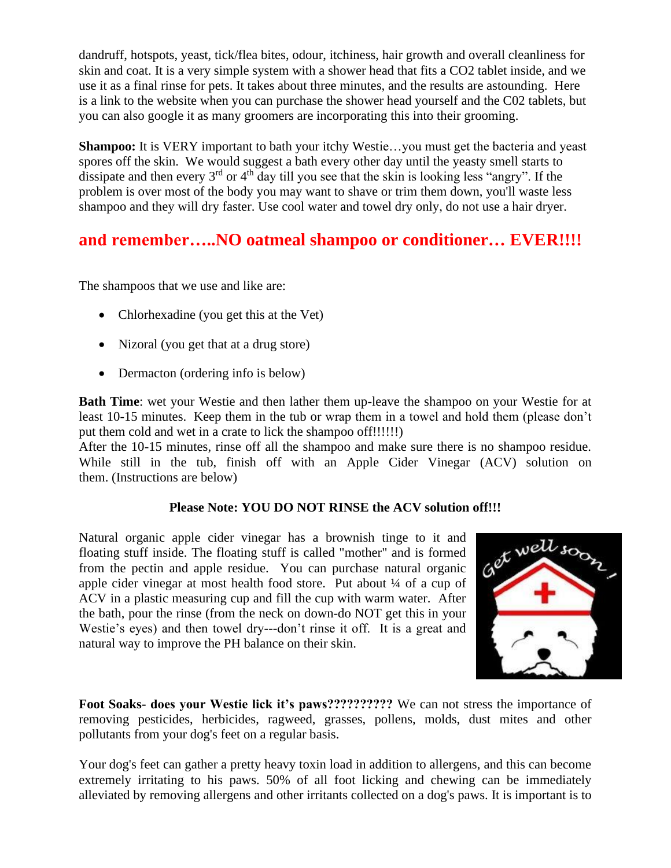dandruff, hotspots, yeast, tick/flea bites, odour, itchiness, hair growth and overall cleanliness for skin and coat. It is a very simple system with a shower head that fits a CO2 tablet inside, and we use it as a final rinse for pets. It takes about three minutes, and the results are astounding. Here is a link to the website when you can purchase the shower head yourself and the C02 tablets, but you can also google it as many groomers are incorporating this into their grooming.

**Shampoo:** It is VERY important to bath your itchy Westie...you must get the bacteria and yeast spores off the skin. We would suggest a bath every other day until the yeasty smell starts to dissipate and then every 3<sup>rd</sup> or 4<sup>th</sup> day till you see that the skin is looking less "angry". If the problem is over most of the body you may want to shave or trim them down, you'll waste less shampoo and they will dry faster. Use cool water and towel dry only, do not use a hair dryer.

### **and remember…..NO oatmeal shampoo or conditioner… EVER!!!!**

The shampoos that we use and like are:

- Chlorhexadine (you get this at the Vet)
- Nizoral (you get that at a drug store)
- Dermacton (ordering info is below)

**Bath Time**: wet your Westie and then lather them up-leave the shampoo on your Westie for at least 10-15 minutes. Keep them in the tub or wrap them in a towel and hold them (please don't put them cold and wet in a crate to lick the shampoo off!!!!!!)

After the 10-15 minutes, rinse off all the shampoo and make sure there is no shampoo residue. While still in the tub, finish off with an Apple Cider Vinegar (ACV) solution on them. (Instructions are below)

#### **Please Note: YOU DO NOT RINSE the ACV solution off!!!**

Natural organic apple cider vinegar has a brownish tinge to it and floating stuff inside. The floating stuff is called "mother" and is formed from the pectin and apple residue. You can purchase natural organic apple cider vinegar at most health food store. Put about ¼ of a cup of ACV in a plastic measuring cup and fill the cup with warm water. After the bath, pour the rinse (from the neck on down-do NOT get this in your Westie's eyes) and then towel dry---don't rinse it off. It is a great and natural way to improve the PH balance on their skin.



**Foot Soaks- does your Westie lick it's paws??????????** We can not stress the importance of removing pesticides, herbicides, ragweed, grasses, pollens, molds, dust mites and other pollutants from your dog's feet on a regular basis.

Your dog's feet can gather a pretty heavy toxin load in addition to allergens, and this can become extremely irritating to his paws. 50% of all foot licking and chewing can be immediately alleviated by removing allergens and other irritants collected on a dog's paws. It is important is to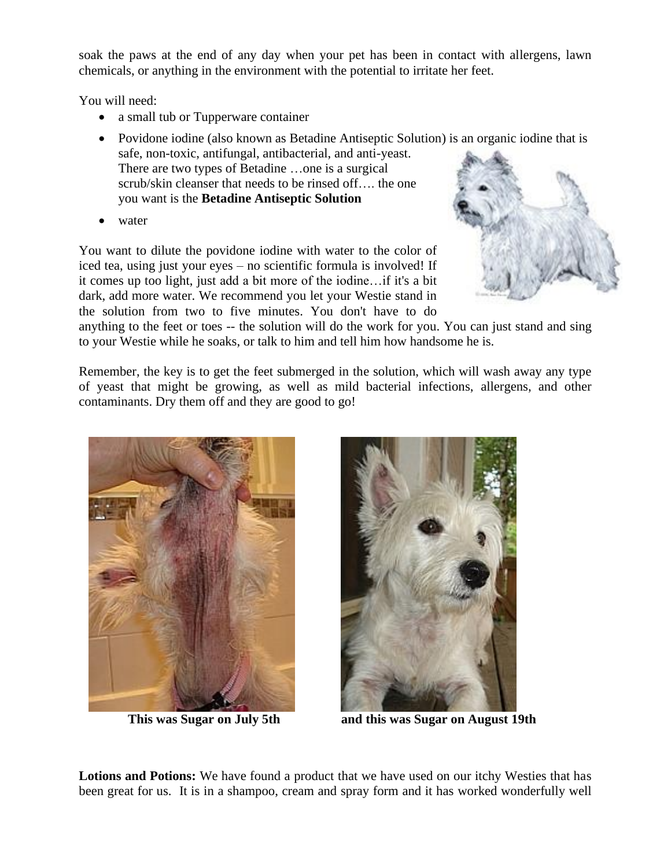soak the paws at the end of any day when your pet has been in contact with allergens, lawn chemicals, or anything in the environment with the potential to irritate her feet.

You will need:

- a small tub or Tupperware container
- Povidone iodine (also known as Betadine Antiseptic Solution) is an organic iodine that is safe, non-toxic, antifungal, antibacterial, and anti-yeast. There are two types of Betadine …one is a surgical scrub/skin cleanser that needs to be rinsed off…. the one you want is the **Betadine Antiseptic Solution**
- water

You want to dilute the povidone iodine with water to the color of iced tea, using just your eyes – no scientific formula is involved! If it comes up too light, just add a bit more of the iodine…if it's a bit dark, add more water. We recommend you let your Westie stand in the solution from two to five minutes. You don't have to do



anything to the feet or toes -- the solution will do the work for you. You can just stand and sing to your Westie while he soaks, or talk to him and tell him how handsome he is.

Remember, the key is to get the feet submerged in the solution, which will wash away any type of yeast that might be growing, as well as mild bacterial infections, allergens, and other contaminants. Dry them off and they are good to go!





**This was Sugar on July 5th and this was Sugar on August 19th**

**Lotions and Potions:** We have found a product that we have used on our itchy Westies that has been great for us. It is in a shampoo, cream and spray form and it has worked wonderfully well